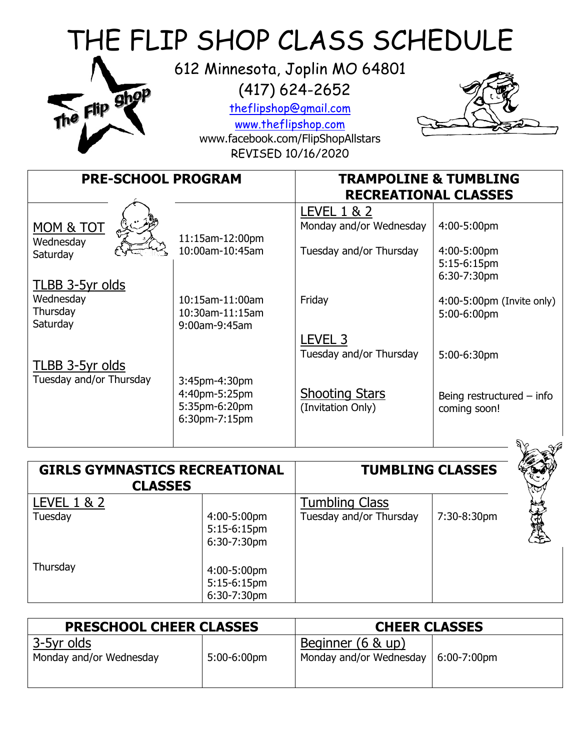| THE FLIP SHOP CLASS SCHEDULE<br>612 Minnesota, Joplin MO 64801<br>$(417)$ 624-2652<br>The Flip Shop<br>theflipshop@gmail.com<br>www.theflipshop.com<br>www.facebook.com/FlipShopAllstars<br>REVISED 10/16/2020 |                                                                  |                                                                   |                                                          |
|----------------------------------------------------------------------------------------------------------------------------------------------------------------------------------------------------------------|------------------------------------------------------------------|-------------------------------------------------------------------|----------------------------------------------------------|
| <b>PRE-SCHOOL PROGRAM</b>                                                                                                                                                                                      |                                                                  | <b>TRAMPOLINE &amp; TUMBLING</b><br><b>RECREATIONAL CLASSES</b>   |                                                          |
| MOM & TOT<br>Wednesday<br>Saturday                                                                                                                                                                             | 11:15am-12:00pm<br>10:00am-10:45am                               | LEVEL 1 & 2<br>Monday and/or Wednesday<br>Tuesday and/or Thursday | 4:00-5:00pm<br>4:00-5:00pm<br>5:15-6:15pm<br>6:30-7:30pm |
| <u>TLBB 3-5yr olds</u><br>Wednesday<br>Thursday<br>Saturday                                                                                                                                                    | 10:15am-11:00am<br>10:30am-11:15am<br>9:00am-9:45am              | Friday                                                            | 4:00-5:00pm (Invite only)<br>5:00-6:00pm                 |
| TLBB 3-5yr olds                                                                                                                                                                                                |                                                                  | LEVEL <sub>3</sub><br>Tuesday and/or Thursday                     | 5:00-6:30pm                                              |
| Tuesday and/or Thursday                                                                                                                                                                                        | 3:45pm-4:30pm<br>4:40pm-5:25pm<br>5:35pm-6:20pm<br>6:30pm-7:15pm | <b>Shooting Stars</b><br>(Invitation Only)                        | Being restructured $-$ info<br>coming soon!              |

| <b>GIRLS GYMNASTICS RECREATIONAL</b><br><b>CLASSES</b> |                |                         | <b>TUMBLING CLASSES</b> |  |
|--------------------------------------------------------|----------------|-------------------------|-------------------------|--|
| <b>LEVEL 1 &amp; 2</b>                                 |                | <b>Tumbling Class</b>   |                         |  |
| Tuesday                                                | 4:00-5:00pm    | Tuesday and/or Thursday | 7:30-8:30pm             |  |
|                                                        | 5:15-6:15pm    |                         |                         |  |
|                                                        | 6:30-7:30pm    |                         |                         |  |
| Thursday                                               |                |                         |                         |  |
|                                                        | 4:00-5:00pm    |                         |                         |  |
|                                                        | $5:15-6:15$ pm |                         |                         |  |
|                                                        | 6:30-7:30pm    |                         |                         |  |

| <b>PRESCHOOL CHEER CLASSES</b>        |             | <b>CHEER CLASSES</b>                         |                 |
|---------------------------------------|-------------|----------------------------------------------|-----------------|
| 3-5yr olds<br>Monday and/or Wednesday | 5:00-6:00pm | Beginner (6 & up)<br>Monday and/or Wednesday | $ 6:00-7:00$ pm |